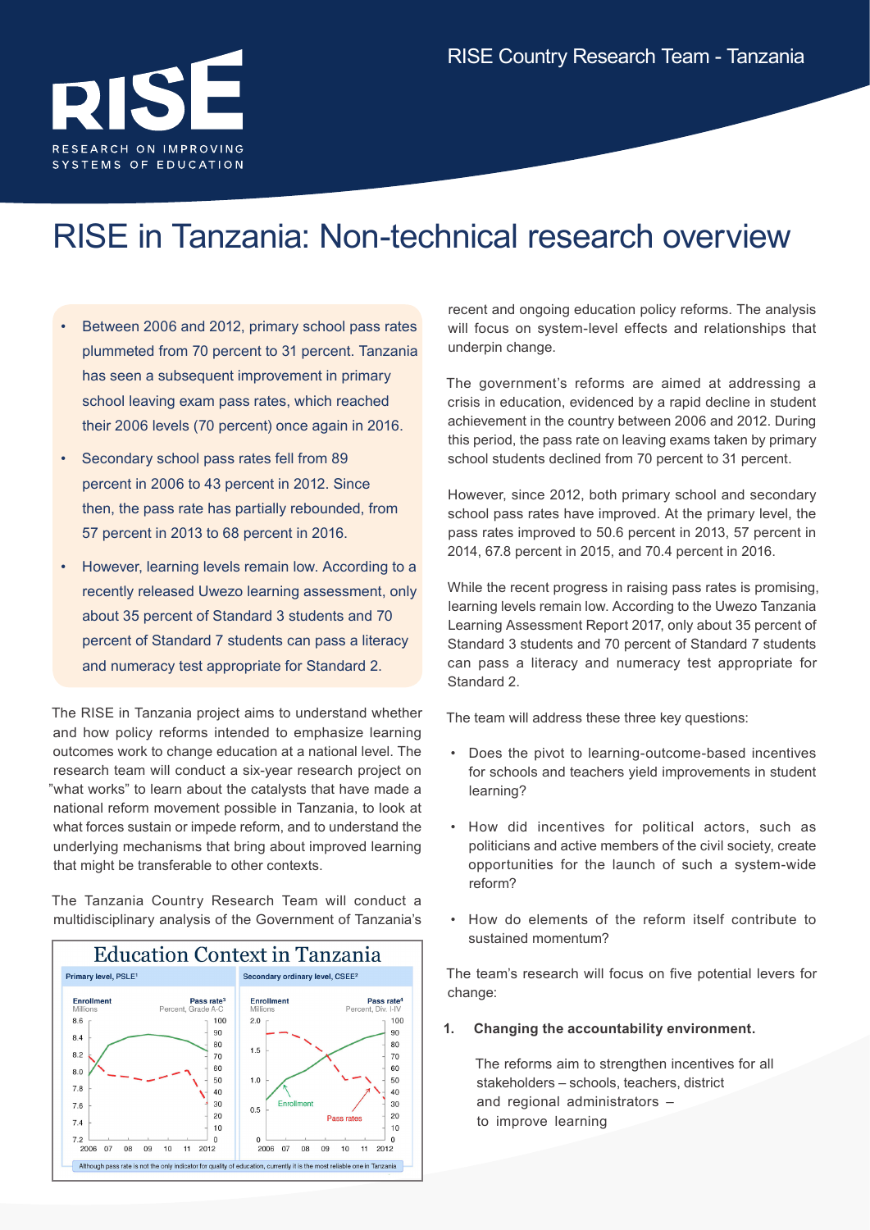

## RISE in Tanzania: Non-technical research overview

- Between 2006 and 2012, primary school pass rates plummeted from 70 percent to 31 percent. Tanzania has seen a subsequent improvement in primary school leaving exam pass rates, which reached their 2006 levels (70 percent) once again in 2016.
- Secondary school pass rates fell from 89 percent in 2006 to 43 percent in 2012. Since then, the pass rate has partially rebounded, from 57 percent in 2013 to 68 percent in 2016.
- However, learning levels remain low. According to a recently released Uwezo learning assessment, only about 35 percent of Standard 3 students and 70 percent of Standard 7 students can pass a literacy and numeracy test appropriate for Standard 2.

The RISE in Tanzania project aims to understand whether and how policy reforms intended to emphasize learning outcomes work to change education at a national level. The research team will conduct a six-year research project on "what works" to learn about the catalysts that have made a national reform movement possible in Tanzania, to look at what forces sustain or impede reform, and to understand the underlying mechanisms that bring about improved learning that might be transferable to other contexts.

The [Tanzania Country Research Team](http://www.riseprogramme.org/content/tanzania-country-research-team) will conduct a multidisciplinary analysis of the Government of Tanzania's



recent and ongoing education policy reforms. The analysis will focus on system-level effects and relationships that underpin change.

The government's reforms are aimed at addressing a crisis in education, evidenced by a rapid decline in student achievement in the country between 2006 and 2012. During this period, the pass rate on leaving exams taken by primary school students declined from 70 percent to 31 percent.

However, since 2012, both primary school and secondary school pass rates have improved. At the primary level, the pass rates improved to 50.6 percent in 2013, 57 percent in 2014, 67.8 percent in 2015, and 70.4 percent in 2016.

While the recent progress in raising pass rates is promising, learning levels remain low. According to the Uwezo Tanzania Learning Assessment Report 2017, only about 35 percent of Standard 3 students and 70 percent of Standard 7 students can pass a literacy and numeracy test appropriate for Standard 2.

The team will address these three key questions:

- Does the pivot to learning-outcome-based incentives for schools and teachers yield improvements in student learning?
- How did incentives for political actors, such as politicians and active members of the civil society, create opportunities for the launch of such a system-wide reform?
- How do elements of the reform itself contribute to sustained momentum?

The team's research will focus on five potential levers for change:

**1. Changing the accountability environment.**

The reforms aim to strengthen incentives for all stakeholders – schools, teachers, district and regional administrators – to improve learning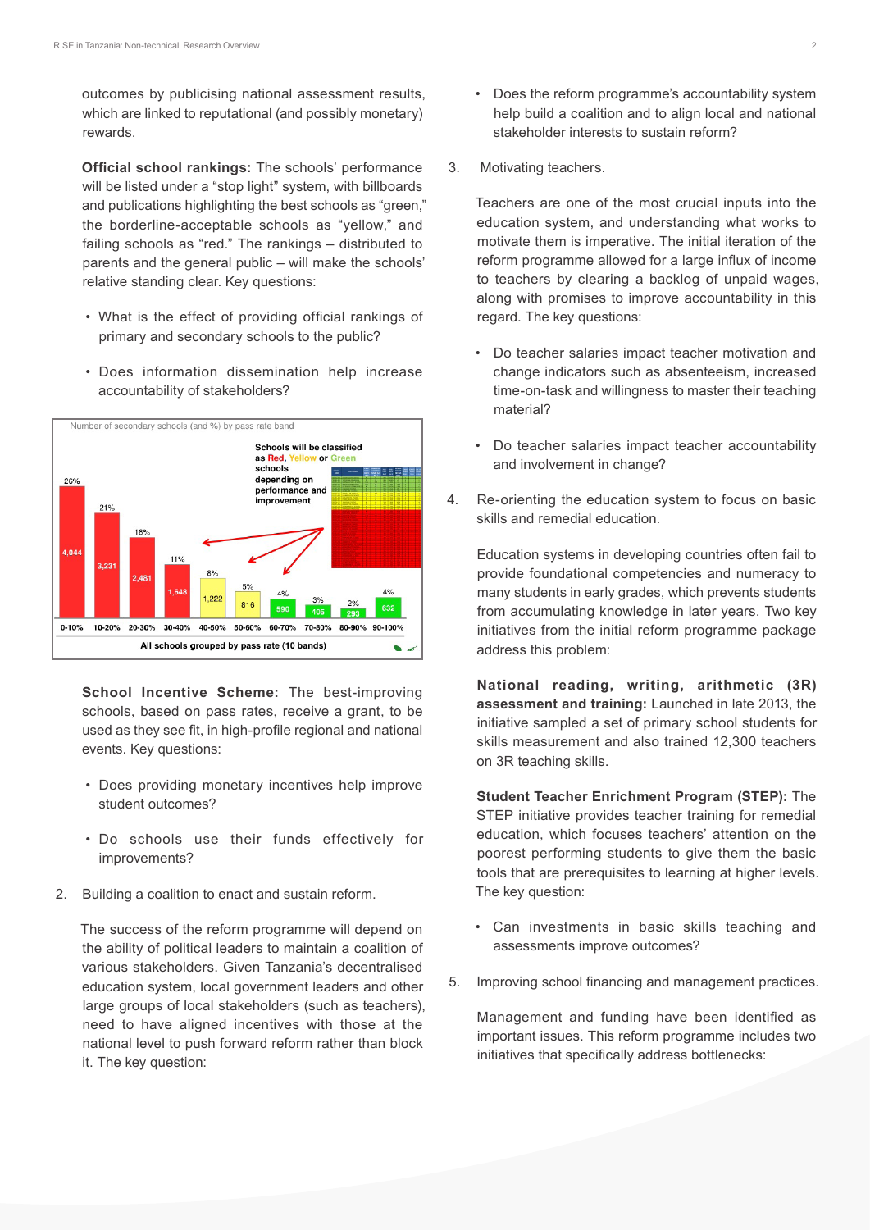outcomes by publicising national assessment results, which are linked to reputational (and possibly monetary) rewards.

**Official school rankings:** The schools' performance will be listed under a "stop light" system, with billboards and publications highlighting the best schools as "green," the borderline-acceptable schools as "yellow," and failing schools as "red." The rankings – distributed to parents and the general public – will make the schools' relative standing clear. Key questions:

- What is the effect of providing official rankings of primary and secondary schools to the public?
- Does information dissemination help increase accountability of stakeholders?



**School Incentive Scheme:** The best-improving schools, based on pass rates, receive a grant, to be used as they see fit, in high-profile regional and national events. Key questions:

- Does providing monetary incentives help improve student outcomes?
- Do schools use their funds effectively for improvements?
- 2. Building a coalition to enact and sustain reform.

The success of the reform programme will depend on the ability of political leaders to maintain a coalition of various stakeholders. Given Tanzania's decentralised education system, local government leaders and other large groups of local stakeholders (such as teachers), need to have aligned incentives with those at the national level to push forward reform rather than block it. The key question:

- Does the reform programme's accountability system help build a coalition and to align local and national stakeholder interests to sustain reform?
- 3. Motivating teachers.

Teachers are one of the most crucial inputs into the education system, and understanding what works to motivate them is imperative. The initial iteration of the reform programme allowed for a large influx of income to teachers by clearing a backlog of unpaid wages, along with promises to improve accountability in this regard. The key questions:

- Do teacher salaries impact teacher motivation and change indicators such as absenteeism, increased time-on-task and willingness to master their teaching material?
- Do teacher salaries impact teacher accountability and involvement in change?
- 4. Re-orienting the education system to focus on basic skills and remedial education.

Education systems in developing countries often fail to provide foundational competencies and numeracy to many students in early grades, which prevents students from accumulating knowledge in later years. Two key initiatives from the initial reform programme package address this problem:

**National reading, writing, arithmetic (3R) assessment and training:** Launched in late 2013, the initiative sampled a set of primary school students for skills measurement and also trained 12,300 teachers on 3R teaching skills.

**Student Teacher Enrichment Program (STEP):** The STEP initiative provides teacher training for remedial education, which focuses teachers' attention on the poorest performing students to give them the basic tools that are prerequisites to learning at higher levels. The key question:

- Can investments in basic skills teaching and assessments improve outcomes?
- 5. Improving school financing and management practices.

Management and funding have been identified as important issues. This reform programme includes two initiatives that specifically address bottlenecks: